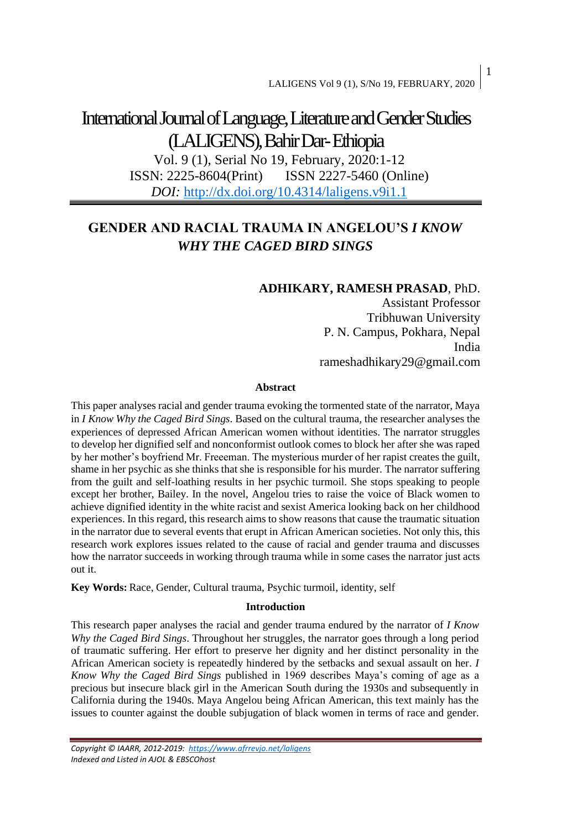# International Journal of Language, Literature and Gender Studies (LALIGENS), Bahir Dar-Ethiopia

Vol. 9 (1), Serial No 19, February, 2020:1-12 ISSN: 2225-8604(Print) ISSN 2227-5460 (Online) *DOI:* <http://dx.doi.org/10.4314/laligens.v9i1.1>

## **GENDER AND RACIAL TRAUMA IN ANGELOU'S** *I KNOW WHY THE CAGED BIRD SINGS*

### **ADHIKARY, RAMESH PRASAD**, PhD.

Assistant Professor Tribhuwan University P. N. Campus, Pokhara, Nepal India rameshadhikary29@gmail.com

#### **Abstract**

This paper analyses racial and gender trauma evoking the tormented state of the narrator, Maya in *I Know Why the Caged Bird Sings*. Based on the cultural trauma, the researcher analyses the experiences of depressed African American women without identities. The narrator struggles to develop her dignified self and nonconformist outlook comes to block her after she was raped by her mother's boyfriend Mr. Freeeman. The mysterious murder of her rapist creates the guilt, shame in her psychic as she thinks that she is responsible for his murder. The narrator suffering from the guilt and self-loathing results in her psychic turmoil. She stops speaking to people except her brother, Bailey. In the novel, Angelou tries to raise the voice of Black women to achieve dignified identity in the white racist and sexist America looking back on her childhood experiences. In this regard, this research aims to show reasons that cause the traumatic situation in the narrator due to several events that erupt in African American societies. Not only this, this research work explores issues related to the cause of racial and gender trauma and discusses how the narrator succeeds in working through trauma while in some cases the narrator just acts out it.

**Key Words:** Race, Gender, Cultural trauma, Psychic turmoil, identity, self

#### **Introduction**

This research paper analyses the racial and gender trauma endured by the narrator of *I Know Why the Caged Bird Sings*. Throughout her struggles, the narrator goes through a long period of traumatic suffering. Her effort to preserve her dignity and her distinct personality in the African American society is repeatedly hindered by the setbacks and sexual assault on her*. I Know Why the Caged Bird Sings* published in 1969 describes Maya's coming of age as a precious but insecure black girl in the American South during the 1930s and subsequently in California during the 1940s. Maya Angelou being African American, this text mainly has the issues to counter against the double subjugation of black women in terms of race and gender.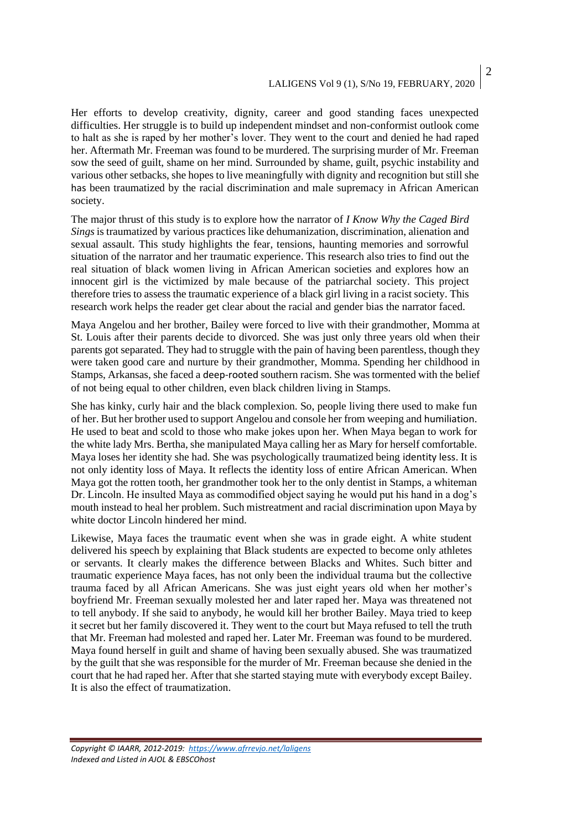Her efforts to develop creativity, dignity, career and good standing faces unexpected difficulties. Her struggle is to build up independent mindset and non-conformist outlook come to halt as she is raped by her mother's lover. They went to the court and denied he had raped her. Aftermath Mr. Freeman was found to be murdered. The surprising murder of Mr. Freeman sow the seed of guilt, shame on her mind. Surrounded by shame, guilt, psychic instability and various other setbacks, she hopes to live meaningfully with dignity and recognition but still she has been traumatized by the racial discrimination and male supremacy in African American society.

The major thrust of this study is to explore how the narrator of *I Know Why the Caged Bird Sings* is traumatized by various practices like dehumanization, discrimination, alienation and sexual assault. This study highlights the fear, tensions, haunting memories and sorrowful situation of the narrator and her traumatic experience. This research also tries to find out the real situation of black women living in African American societies and explores how an innocent girl is the victimized by male because of the patriarchal society. This project therefore tries to assess the traumatic experience of a black girl living in a racist society. This research work helps the reader get clear about the racial and gender bias the narrator faced.

Maya Angelou and her brother, Bailey were forced to live with their grandmother, Momma at St. Louis after their parents decide to divorced. She was just only three years old when their parents got separated. They had to struggle with the pain of having been parentless, though they were taken good care and nurture by their grandmother, Momma. Spending her childhood in Stamps, Arkansas, she faced a deep-rooted southern racism. She was tormented with the belief of not being equal to other children, even black children living in Stamps.

She has kinky, curly hair and the black complexion. So, people living there used to make fun of her. But her brother used to support Angelou and console her from weeping and humiliation. He used to beat and scold to those who make jokes upon her. When Maya began to work for the white lady Mrs. Bertha, she manipulated Maya calling her as Mary for herself comfortable. Maya loses her identity she had. She was psychologically traumatized being identity less. It is not only identity loss of Maya. It reflects the identity loss of entire African American. When Maya got the rotten tooth, her grandmother took her to the only dentist in Stamps, a whiteman Dr. Lincoln. He insulted Maya as commodified object saying he would put his hand in a dog's mouth instead to heal her problem. Such mistreatment and racial discrimination upon Maya by white doctor Lincoln hindered her mind.

Likewise, Maya faces the traumatic event when she was in grade eight. A white student delivered his speech by explaining that Black students are expected to become only athletes or servants. It clearly makes the difference between Blacks and Whites. Such bitter and traumatic experience Maya faces, has not only been the individual trauma but the collective trauma faced by all African Americans. She was just eight years old when her mother's boyfriend Mr. Freeman sexually molested her and later raped her. Maya was threatened not to tell anybody. If she said to anybody, he would kill her brother Bailey. Maya tried to keep it secret but her family discovered it. They went to the court but Maya refused to tell the truth that Mr. Freeman had molested and raped her. Later Mr. Freeman was found to be murdered. Maya found herself in guilt and shame of having been sexually abused. She was traumatized by the guilt that she was responsible for the murder of Mr. Freeman because she denied in the court that he had raped her. After that she started staying mute with everybody except Bailey. It is also the effect of traumatization.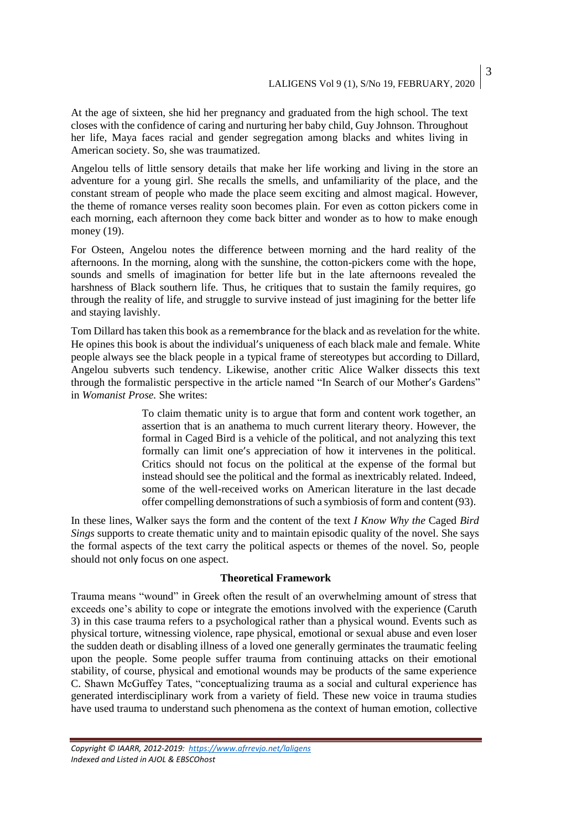At the age of sixteen, she hid her pregnancy and graduated from the high school. The text closes with the confidence of caring and nurturing her baby child, Guy Johnson. Throughout her life, Maya faces racial and gender segregation among blacks and whites living in American society. So, she was traumatized.

Angelou tells of little sensory details that make her life working and living in the store an adventure for a young girl. She recalls the smells, and unfamiliarity of the place, and the constant stream of people who made the place seem exciting and almost magical. However, the theme of romance verses reality soon becomes plain. For even as cotton pickers come in each morning, each afternoon they come back bitter and wonder as to how to make enough money (19).

For Osteen, Angelou notes the difference between morning and the hard reality of the afternoons. In the morning, along with the sunshine, the cotton-pickers come with the hope, sounds and smells of imagination for better life but in the late afternoons revealed the harshness of Black southern life. Thus, he critiques that to sustain the family requires, go through the reality of life, and struggle to survive instead of just imagining for the better life and staying lavishly.

Tom Dillard has taken this book as a remembrance for the black and as revelation for the white. He opines this book is about the individual's uniqueness of each black male and female. White people always see the black people in a typical frame of stereotypes but according to Dillard, Angelou subverts such tendency. Likewise, another critic Alice Walker dissects this text through the formalistic perspective in the article named "In Search of our Mother's Gardens" in *Womanist Prose.* She writes:

> To claim thematic unity is to argue that form and content work together, an assertion that is an anathema to much current literary theory. However, the formal in Caged Bird is a vehicle of the political, and not analyzing this text formally can limit one's appreciation of how it intervenes in the political. Critics should not focus on the political at the expense of the formal but instead should see the political and the formal as inextricably related. Indeed, some of the well-received works on American literature in the last decade offer compelling demonstrations of such a symbiosis of form and content (93).

In these lines, Walker says the form and the content of the text *I Know Why the* Caged *Bird Sings* supports to create thematic unity and to maintain episodic quality of the novel. She says the formal aspects of the text carry the political aspects or themes of the novel. So, people should not only focus on one aspect.

#### **Theoretical Framework**

Trauma means "wound" in Greek often the result of an overwhelming amount of stress that exceeds one's ability to cope or integrate the emotions involved with the experience (Caruth 3) in this case trauma refers to a psychological rather than a physical wound. Events such as physical torture, witnessing violence, rape physical, emotional or sexual abuse and even loser the sudden death or disabling illness of a loved one generally germinates the traumatic feeling upon the people. Some people suffer trauma from continuing attacks on their emotional stability, of course, physical and emotional wounds may be products of the same experience C. Shawn McGuffey Tates, "conceptualizing trauma as a social and cultural experience has generated interdisciplinary work from a variety of field. These new voice in trauma studies have used trauma to understand such phenomena as the context of human emotion, collective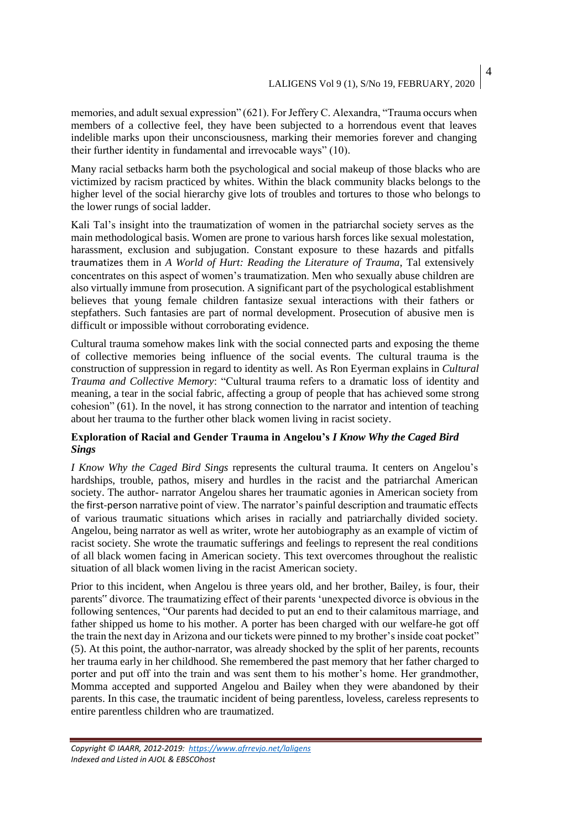memories, and adult sexual expression" (621). For Jeffery C. Alexandra, "Trauma occurs when members of a collective feel, they have been subjected to a horrendous event that leaves indelible marks upon their unconsciousness, marking their memories forever and changing their further identity in fundamental and irrevocable ways" (10).

Many racial setbacks harm both the psychological and social makeup of those blacks who are victimized by racism practiced by whites. Within the black community blacks belongs to the higher level of the social hierarchy give lots of troubles and tortures to those who belongs to the lower rungs of social ladder.

Kali Tal's insight into the traumatization of women in the patriarchal society serves as the main methodological basis. Women are prone to various harsh forces like sexual molestation, harassment, exclusion and subjugation. Constant exposure to these hazards and pitfalls traumatizes them in *A World of Hurt: Reading the Literature of Trauma*, Tal extensively concentrates on this aspect of women's traumatization. Men who sexually abuse children are also virtually immune from prosecution. A significant part of the psychological establishment believes that young female children fantasize sexual interactions with their fathers or stepfathers. Such fantasies are part of normal development. Prosecution of abusive men is difficult or impossible without corroborating evidence.

Cultural trauma somehow makes link with the social connected parts and exposing the theme of collective memories being influence of the social events. The cultural trauma is the construction of suppression in regard to identity as well. As Ron Eyerman explains in *Cultural Trauma and Collective Memory*: "Cultural trauma refers to a dramatic loss of identity and meaning, a tear in the social fabric, affecting a group of people that has achieved some strong cohesion" (61). In the novel, it has strong connection to the narrator and intention of teaching about her trauma to the further other black women living in racist society.

#### **Exploration of Racial and Gender Trauma in Angelou's** *I Know Why the Caged Bird Sings*

*I Know Why the Caged Bird Sings* represents the cultural trauma. It centers on Angelou's hardships, trouble, pathos, misery and hurdles in the racist and the patriarchal American society. The author- narrator Angelou shares her traumatic agonies in American society from the first-person narrative point of view. The narrator's painful description and traumatic effects of various traumatic situations which arises in racially and patriarchally divided society. Angelou, being narrator as well as writer, wrote her autobiography as an example of victim of racist society. She wrote the traumatic sufferings and feelings to represent the real conditions of all black women facing in American society. This text overcomes throughout the realistic situation of all black women living in the racist American society.

Prior to this incident, when Angelou is three years old, and her brother, Bailey, is four, their parents" divorce. The traumatizing effect of their parents 'unexpected divorce is obvious in the following sentences, "Our parents had decided to put an end to their calamitous marriage, and father shipped us home to his mother. A porter has been charged with our welfare-he got off the train the next day in Arizona and our tickets were pinned to my brother's inside coat pocket" (5). At this point, the author-narrator, was already shocked by the split of her parents, recounts her trauma early in her childhood. She remembered the past memory that her father charged to porter and put off into the train and was sent them to his mother's home. Her grandmother, Momma accepted and supported Angelou and Bailey when they were abandoned by their parents. In this case, the traumatic incident of being parentless, loveless, careless represents to entire parentless children who are traumatized.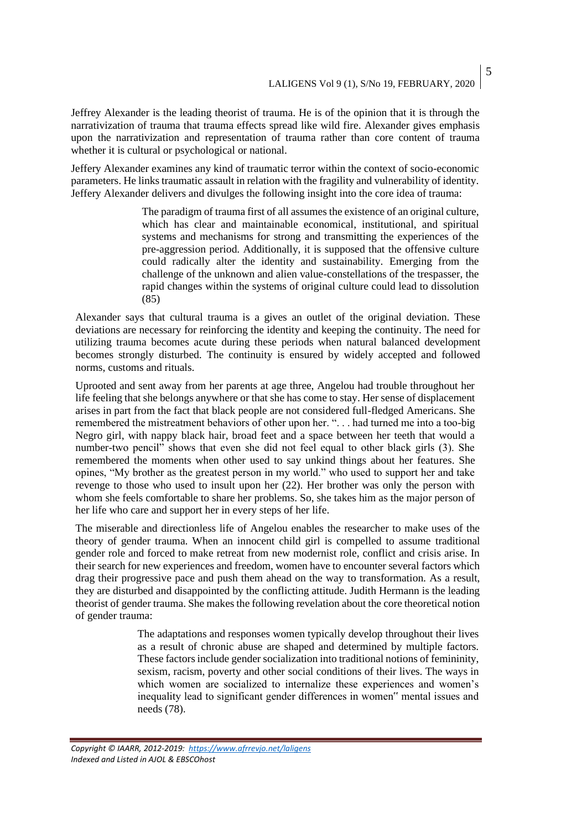Jeffrey Alexander is the leading theorist of trauma. He is of the opinion that it is through the narrativization of trauma that trauma effects spread like wild fire. Alexander gives emphasis upon the narrativization and representation of trauma rather than core content of trauma whether it is cultural or psychological or national.

Jeffery Alexander examines any kind of traumatic terror within the context of socio-economic parameters. He links traumatic assault in relation with the fragility and vulnerability of identity. Jeffery Alexander delivers and divulges the following insight into the core idea of trauma:

> The paradigm of trauma first of all assumes the existence of an original culture, which has clear and maintainable economical, institutional, and spiritual systems and mechanisms for strong and transmitting the experiences of the pre-aggression period. Additionally, it is supposed that the offensive culture could radically alter the identity and sustainability. Emerging from the challenge of the unknown and alien value-constellations of the trespasser, the rapid changes within the systems of original culture could lead to dissolution (85)

Alexander says that cultural trauma is a gives an outlet of the original deviation. These deviations are necessary for reinforcing the identity and keeping the continuity. The need for utilizing trauma becomes acute during these periods when natural balanced development becomes strongly disturbed. The continuity is ensured by widely accepted and followed norms, customs and rituals.

Uprooted and sent away from her parents at age three, Angelou had trouble throughout her life feeling that she belongs anywhere or that she has come to stay. Her sense of displacement arises in part from the fact that black people are not considered full-fledged Americans. She remembered the mistreatment behaviors of other upon her. ". . . had turned me into a too-big Negro girl, with nappy black hair, broad feet and a space between her teeth that would a number-two pencil" shows that even she did not feel equal to other black girls (3). She remembered the moments when other used to say unkind things about her features. She opines, "My brother as the greatest person in my world." who used to support her and take revenge to those who used to insult upon her (22). Her brother was only the person with whom she feels comfortable to share her problems. So, she takes him as the major person of her life who care and support her in every steps of her life.

The miserable and directionless life of Angelou enables the researcher to make uses of the theory of gender trauma. When an innocent child girl is compelled to assume traditional gender role and forced to make retreat from new modernist role, conflict and crisis arise. In their search for new experiences and freedom, women have to encounter several factors which drag their progressive pace and push them ahead on the way to transformation. As a result, they are disturbed and disappointed by the conflicting attitude. Judith Hermann is the leading theorist of gender trauma. She makes the following revelation about the core theoretical notion of gender trauma:

> The adaptations and responses women typically develop throughout their lives as a result of chronic abuse are shaped and determined by multiple factors. These factors include gender socialization into traditional notions of femininity, sexism, racism, poverty and other social conditions of their lives. The ways in which women are socialized to internalize these experiences and women's inequality lead to significant gender differences in women" mental issues and needs (78).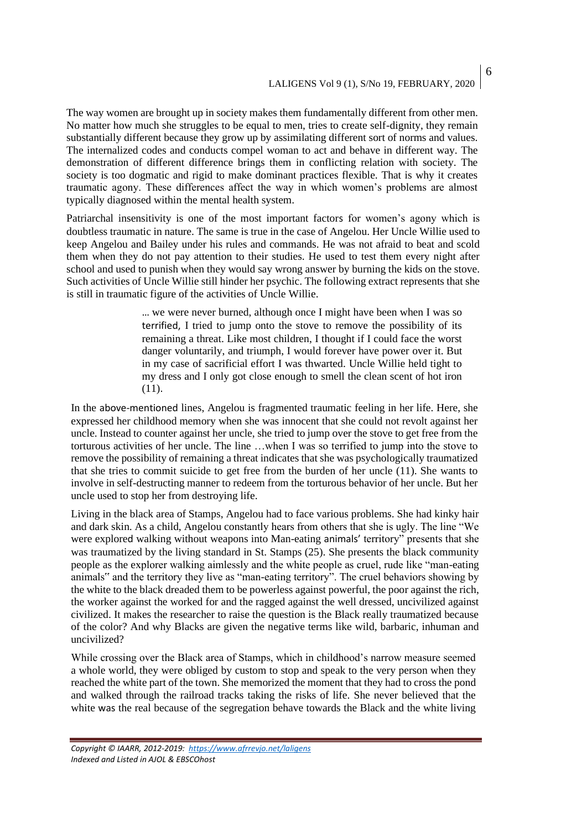The way women are brought up in society makes them fundamentally different from other men. No matter how much she struggles to be equal to men, tries to create self-dignity, they remain substantially different because they grow up by assimilating different sort of norms and values. The internalized codes and conducts compel woman to act and behave in different way. The demonstration of different difference brings them in conflicting relation with society. The society is too dogmatic and rigid to make dominant practices flexible. That is why it creates traumatic agony. These differences affect the way in which women's problems are almost typically diagnosed within the mental health system.

Patriarchal insensitivity is one of the most important factors for women's agony which is doubtless traumatic in nature. The same is true in the case of Angelou. Her Uncle Willie used to keep Angelou and Bailey under his rules and commands. He was not afraid to beat and scold them when they do not pay attention to their studies. He used to test them every night after school and used to punish when they would say wrong answer by burning the kids on the stove. Such activities of Uncle Willie still hinder her psychic. The following extract represents that she is still in traumatic figure of the activities of Uncle Willie.

> … we were never burned, although once I might have been when I was so terrified, I tried to jump onto the stove to remove the possibility of its remaining a threat. Like most children, I thought if I could face the worst danger voluntarily, and triumph, I would forever have power over it. But in my case of sacrificial effort I was thwarted. Uncle Willie held tight to my dress and I only got close enough to smell the clean scent of hot iron (11).

In the above-mentioned lines, Angelou is fragmented traumatic feeling in her life. Here, she expressed her childhood memory when she was innocent that she could not revolt against her uncle. Instead to counter against her uncle, she tried to jump over the stove to get free from the torturous activities of her uncle. The line …when I was so terrified to jump into the stove to remove the possibility of remaining a threat indicates that she was psychologically traumatized that she tries to commit suicide to get free from the burden of her uncle (11). She wants to involve in self-destructing manner to redeem from the torturous behavior of her uncle. But her uncle used to stop her from destroying life.

Living in the black area of Stamps, Angelou had to face various problems. She had kinky hair and dark skin. As a child, Angelou constantly hears from others that she is ugly. The line "We were explored walking without weapons into Man-eating animals' territory" presents that she was traumatized by the living standard in St. Stamps (25). She presents the black community people as the explorer walking aimlessly and the white people as cruel, rude like "man-eating animals" and the territory they live as "man-eating territory". The cruel behaviors showing by the white to the black dreaded them to be powerless against powerful, the poor against the rich, the worker against the worked for and the ragged against the well dressed, uncivilized against civilized. It makes the researcher to raise the question is the Black really traumatized because of the color? And why Blacks are given the negative terms like wild, barbaric, inhuman and uncivilized?

While crossing over the Black area of Stamps, which in childhood's narrow measure seemed a whole world, they were obliged by custom to stop and speak to the very person when they reached the white part of the town. She memorized the moment that they had to cross the pond and walked through the railroad tracks taking the risks of life. She never believed that the white was the real because of the segregation behave towards the Black and the white living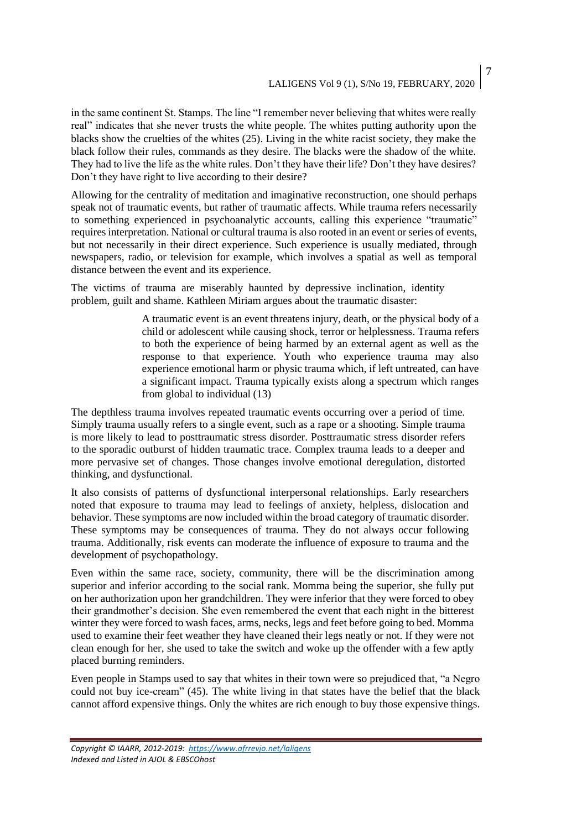in the same continent St. Stamps. The line "I remember never believing that whites were really real" indicates that she never trusts the white people. The whites putting authority upon the blacks show the cruelties of the whites (25). Living in the white racist society, they make the black follow their rules, commands as they desire. The blacks were the shadow of the white. They had to live the life as the white rules. Don't they have their life? Don't they have desires? Don't they have right to live according to their desire?

Allowing for the centrality of meditation and imaginative reconstruction, one should perhaps speak not of traumatic events, but rather of traumatic affects. While trauma refers necessarily to something experienced in psychoanalytic accounts, calling this experience "traumatic" requires interpretation. National or cultural trauma is also rooted in an event or series of events, but not necessarily in their direct experience. Such experience is usually mediated, through newspapers, radio, or television for example, which involves a spatial as well as temporal distance between the event and its experience.

The victims of trauma are miserably haunted by depressive inclination, identity problem, guilt and shame. Kathleen Miriam argues about the traumatic disaster:

> A traumatic event is an event threatens injury, death, or the physical body of a child or adolescent while causing shock, terror or helplessness. Trauma refers to both the experience of being harmed by an external agent as well as the response to that experience. Youth who experience trauma may also experience emotional harm or physic trauma which, if left untreated, can have a significant impact. Trauma typically exists along a spectrum which ranges from global to individual (13)

The depthless trauma involves repeated traumatic events occurring over a period of time. Simply trauma usually refers to a single event, such as a rape or a shooting. Simple trauma is more likely to lead to posttraumatic stress disorder. Posttraumatic stress disorder refers to the sporadic outburst of hidden traumatic trace. Complex trauma leads to a deeper and more pervasive set of changes. Those changes involve emotional deregulation, distorted thinking, and dysfunctional.

It also consists of patterns of dysfunctional interpersonal relationships. Early researchers noted that exposure to trauma may lead to feelings of anxiety, helpless, dislocation and behavior. These symptoms are now included within the broad category of traumatic disorder. These symptoms may be consequences of trauma. They do not always occur following trauma. Additionally, risk events can moderate the influence of exposure to trauma and the development of psychopathology.

Even within the same race, society, community, there will be the discrimination among superior and inferior according to the social rank. Momma being the superior, she fully put on her authorization upon her grandchildren. They were inferior that they were forced to obey their grandmother's decision. She even remembered the event that each night in the bitterest winter they were forced to wash faces, arms, necks, legs and feet before going to bed. Momma used to examine their feet weather they have cleaned their legs neatly or not. If they were not clean enough for her, she used to take the switch and woke up the offender with a few aptly placed burning reminders.

Even people in Stamps used to say that whites in their town were so prejudiced that, "a Negro could not buy ice-cream" (45). The white living in that states have the belief that the black cannot afford expensive things. Only the whites are rich enough to buy those expensive things.

*Copyright © IAARR, 2012-2019: <https://www.afrrevjo.net/laligens> Indexed and Listed in AJOL & EBSCOhost*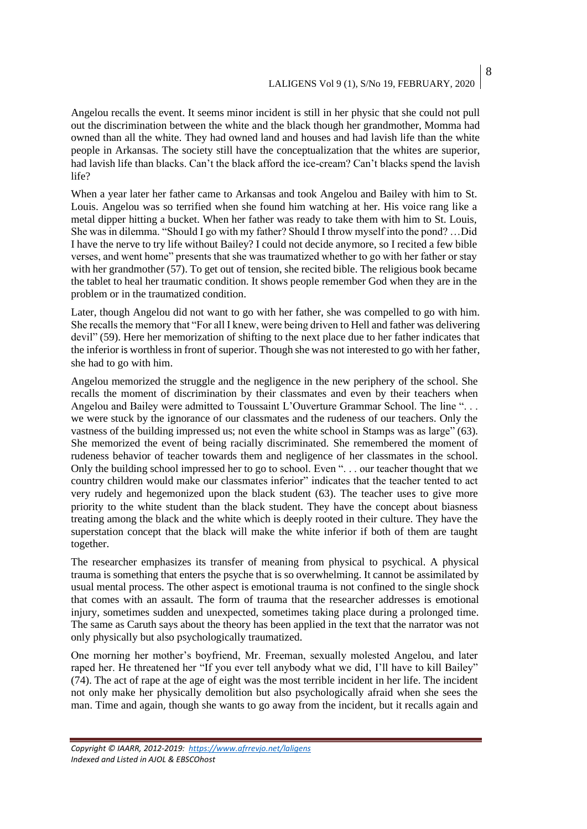Angelou recalls the event. It seems minor incident is still in her physic that she could not pull out the discrimination between the white and the black though her grandmother, Momma had owned than all the white. They had owned land and houses and had lavish life than the white people in Arkansas. The society still have the conceptualization that the whites are superior, had lavish life than blacks. Can't the black afford the ice-cream? Can't blacks spend the lavish life?

When a year later her father came to Arkansas and took Angelou and Bailey with him to St. Louis. Angelou was so terrified when she found him watching at her. His voice rang like a metal dipper hitting a bucket. When her father was ready to take them with him to St. Louis, She was in dilemma. "Should I go with my father? Should I throw myself into the pond? …Did I have the nerve to try life without Bailey? I could not decide anymore, so I recited a few bible verses, and went home" presents that she was traumatized whether to go with her father or stay with her grandmother (57). To get out of tension, she recited bible. The religious book became the tablet to heal her traumatic condition. It shows people remember God when they are in the problem or in the traumatized condition.

Later, though Angelou did not want to go with her father, she was compelled to go with him. She recalls the memory that "For all I knew, were being driven to Hell and father was delivering devil" (59). Here her memorization of shifting to the next place due to her father indicates that the inferior is worthless in front of superior. Though she was not interested to go with her father, she had to go with him.

Angelou memorized the struggle and the negligence in the new periphery of the school. She recalls the moment of discrimination by their classmates and even by their teachers when Angelou and Bailey were admitted to Toussaint L'Ouverture Grammar School. The line "... we were stuck by the ignorance of our classmates and the rudeness of our teachers. Only the vastness of the building impressed us; not even the white school in Stamps was as large" (63). She memorized the event of being racially discriminated. She remembered the moment of rudeness behavior of teacher towards them and negligence of her classmates in the school. Only the building school impressed her to go to school. Even ". . . our teacher thought that we country children would make our classmates inferior" indicates that the teacher tented to act very rudely and hegemonized upon the black student (63). The teacher uses to give more priority to the white student than the black student. They have the concept about biasness treating among the black and the white which is deeply rooted in their culture. They have the superstation concept that the black will make the white inferior if both of them are taught together.

The researcher emphasizes its transfer of meaning from physical to psychical. A physical trauma is something that enters the psyche that is so overwhelming. It cannot be assimilated by usual mental process. The other aspect is emotional trauma is not confined to the single shock that comes with an assault. The form of trauma that the researcher addresses is emotional injury, sometimes sudden and unexpected, sometimes taking place during a prolonged time. The same as Caruth says about the theory has been applied in the text that the narrator was not only physically but also psychologically traumatized.

One morning her mother's boyfriend, Mr. Freeman, sexually molested Angelou, and later raped her. He threatened her "If you ever tell anybody what we did, I'll have to kill Bailey" (74). The act of rape at the age of eight was the most terrible incident in her life. The incident not only make her physically demolition but also psychologically afraid when she sees the man. Time and again, though she wants to go away from the incident, but it recalls again and

*Copyright © IAARR, 2012-2019: <https://www.afrrevjo.net/laligens> Indexed and Listed in AJOL & EBSCOhost*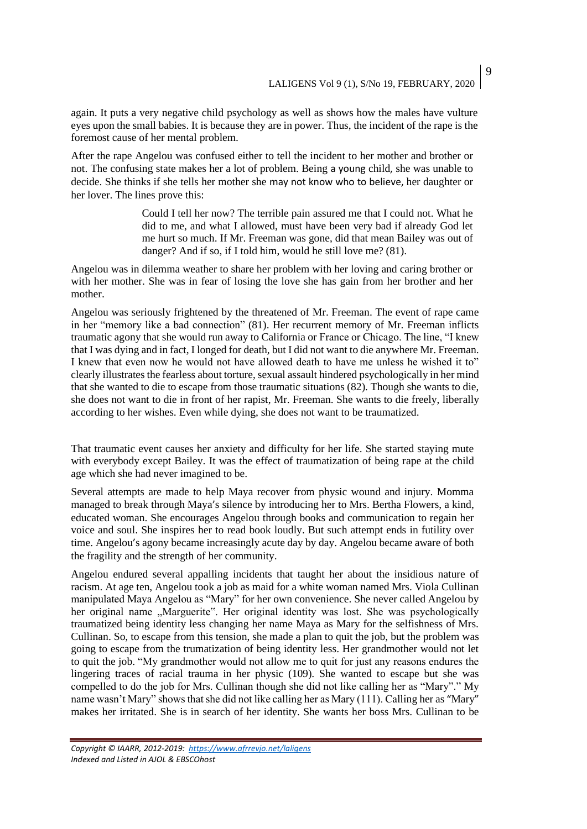again. It puts a very negative child psychology as well as shows how the males have vulture eyes upon the small babies. It is because they are in power. Thus, the incident of the rape is the foremost cause of her mental problem.

After the rape Angelou was confused either to tell the incident to her mother and brother or not. The confusing state makes her a lot of problem. Being a young child, she was unable to decide. She thinks if she tells her mother she may not know who to believe, her daughter or her lover. The lines prove this:

> Could I tell her now? The terrible pain assured me that I could not. What he did to me, and what I allowed, must have been very bad if already God let me hurt so much. If Mr. Freeman was gone, did that mean Bailey was out of danger? And if so, if I told him, would he still love me? (81).

Angelou was in dilemma weather to share her problem with her loving and caring brother or with her mother. She was in fear of losing the love she has gain from her brother and her mother.

Angelou was seriously frightened by the threatened of Mr. Freeman. The event of rape came in her "memory like a bad connection" (81). Her recurrent memory of Mr. Freeman inflicts traumatic agony that she would run away to California or France or Chicago. The line, "I knew that I was dying and in fact, I longed for death, but I did not want to die anywhere Mr. Freeman. I knew that even now he would not have allowed death to have me unless he wished it to" clearly illustrates the fearless about torture, sexual assault hindered psychologically in her mind that she wanted to die to escape from those traumatic situations (82). Though she wants to die, she does not want to die in front of her rapist, Mr. Freeman. She wants to die freely, liberally according to her wishes. Even while dying, she does not want to be traumatized.

That traumatic event causes her anxiety and difficulty for her life. She started staying mute with everybody except Bailey. It was the effect of traumatization of being rape at the child age which she had never imagined to be.

Several attempts are made to help Maya recover from physic wound and injury. Momma managed to break through Maya's silence by introducing her to Mrs. Bertha Flowers, a kind, educated woman. She encourages Angelou through books and communication to regain her voice and soul. She inspires her to read book loudly. But such attempt ends in futility over time. Angelou's agony became increasingly acute day by day. Angelou became aware of both the fragility and the strength of her community.

Angelou endured several appalling incidents that taught her about the insidious nature of racism. At age ten, Angelou took a job as maid for a white woman named Mrs. Viola Cullinan manipulated Maya Angelou as "Mary" for her own convenience. She never called Angelou by her original name "Marguerite". Her original identity was lost. She was psychologically traumatized being identity less changing her name Maya as Mary for the selfishness of Mrs. Cullinan. So, to escape from this tension, she made a plan to quit the job, but the problem was going to escape from the trumatization of being identity less. Her grandmother would not let to quit the job. "My grandmother would not allow me to quit for just any reasons endures the lingering traces of racial trauma in her physic (109). She wanted to escape but she was compelled to do the job for Mrs. Cullinan though she did not like calling her as "Mary"." My name wasn't Mary" shows that she did not like calling her as Mary (111). Calling her as "Mary" makes her irritated. She is in search of her identity. She wants her boss Mrs. Cullinan to be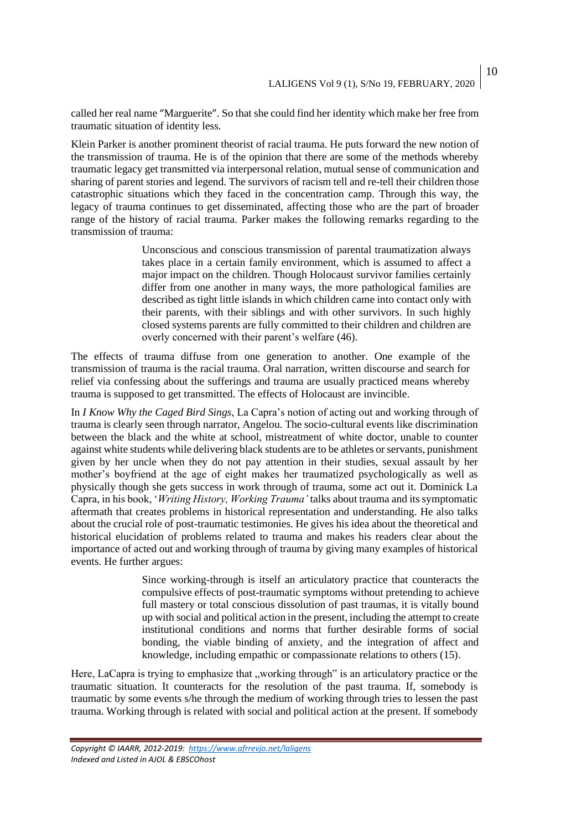called her real name "Marguerite". So that she could find her identity which make her free from traumatic situation of identity less.

Klein Parker is another prominent theorist of racial trauma. He puts forward the new notion of the transmission of trauma. He is of the opinion that there are some of the methods whereby traumatic legacy get transmitted via interpersonal relation, mutual sense of communication and sharing of parent stories and legend. The survivors of racism tell and re-tell their children those catastrophic situations which they faced in the concentration camp. Through this way, the legacy of trauma continues to get disseminated, affecting those who are the part of broader range of the history of racial trauma. Parker makes the following remarks regarding to the transmission of trauma:

> Unconscious and conscious transmission of parental traumatization always takes place in a certain family environment, which is assumed to affect a major impact on the children. Though Holocaust survivor families certainly differ from one another in many ways, the more pathological families are described as tight little islands in which children came into contact only with their parents, with their siblings and with other survivors. In such highly closed systems parents are fully committed to their children and children are overly concerned with their parent's welfare (46).

The effects of trauma diffuse from one generation to another. One example of the transmission of trauma is the racial trauma. Oral narration, written discourse and search for relief via confessing about the sufferings and trauma are usually practiced means whereby trauma is supposed to get transmitted. The effects of Holocaust are invincible.

In *I Know Why the Caged Bird Sings*, La Capra's notion of acting out and working through of trauma is clearly seen through narrator, Angelou. The socio-cultural events like discrimination between the black and the white at school, mistreatment of white doctor, unable to counter against white students while delivering black students are to be athletes or servants, punishment given by her uncle when they do not pay attention in their studies, sexual assault by her mother's boyfriend at the age of eight makes her traumatized psychologically as well as physically though she gets success in work through of trauma, some act out it. Dominick La Capra, in his book, '*Writing History, Working Trauma'* talks about trauma and its symptomatic aftermath that creates problems in historical representation and understanding. He also talks about the crucial role of post-traumatic testimonies. He gives his idea about the theoretical and historical elucidation of problems related to trauma and makes his readers clear about the importance of acted out and working through of trauma by giving many examples of historical events. He further argues:

> Since working-through is itself an articulatory practice that counteracts the compulsive effects of post-traumatic symptoms without pretending to achieve full mastery or total conscious dissolution of past traumas, it is vitally bound up with social and political action in the present, including the attempt to create institutional conditions and norms that further desirable forms of social bonding, the viable binding of anxiety, and the integration of affect and knowledge, including empathic or compassionate relations to others (15).

Here, LaCapra is trying to emphasize that "working through" is an articulatory practice or the traumatic situation. It counteracts for the resolution of the past trauma. If, somebody is traumatic by some events s/he through the medium of working through tries to lessen the past trauma. Working through is related with social and political action at the present. If somebody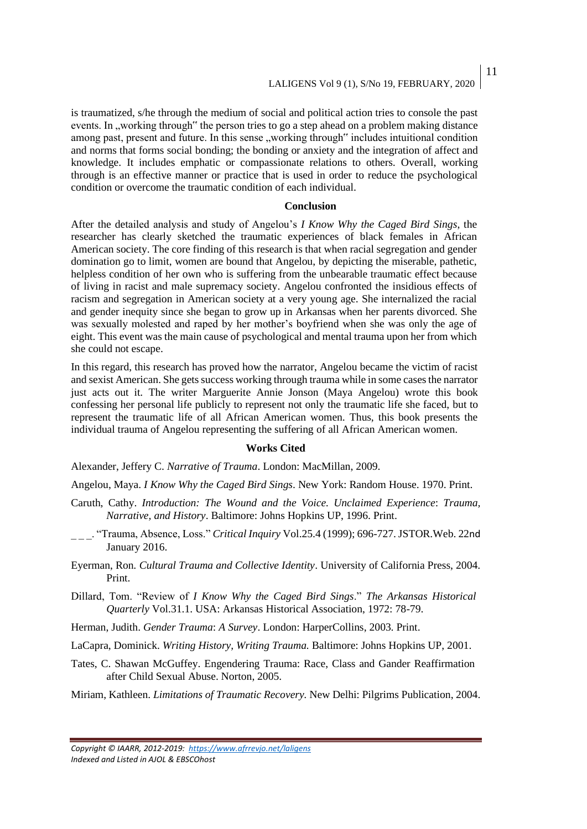is traumatized, s/he through the medium of social and political action tries to console the past events. In "working through" the person tries to go a step ahead on a problem making distance among past, present and future. In this sense . working through" includes intuitional condition and norms that forms social bonding; the bonding or anxiety and the integration of affect and knowledge. It includes emphatic or compassionate relations to others. Overall, working through is an effective manner or practice that is used in order to reduce the psychological condition or overcome the traumatic condition of each individual.

#### **Conclusion**

After the detailed analysis and study of Angelou's *I Know Why the Caged Bird Sings*, the researcher has clearly sketched the traumatic experiences of black females in African American society. The core finding of this research is that when racial segregation and gender domination go to limit, women are bound that Angelou, by depicting the miserable, pathetic, helpless condition of her own who is suffering from the unbearable traumatic effect because of living in racist and male supremacy society. Angelou confronted the insidious effects of racism and segregation in American society at a very young age. She internalized the racial and gender inequity since she began to grow up in Arkansas when her parents divorced. She was sexually molested and raped by her mother's boyfriend when she was only the age of eight. This event was the main cause of psychological and mental trauma upon her from which she could not escape.

In this regard, this research has proved how the narrator, Angelou became the victim of racist and sexist American. She gets success working through trauma while in some cases the narrator just acts out it. The writer Marguerite Annie Jonson (Maya Angelou) wrote this book confessing her personal life publicly to represent not only the traumatic life she faced, but to represent the traumatic life of all African American women. Thus, this book presents the individual trauma of Angelou representing the suffering of all African American women.

#### **Works Cited**

Alexander, Jeffery C. *Narrative of Trauma*. London: MacMillan, 2009.

Angelou, Maya. *I Know Why the Caged Bird Sings*. New York: Random House. 1970. Print.

- Caruth, Cathy. *Introduction: The Wound and the Voice. Unclaimed Experience*: *Trauma, Narrative, and History*. Baltimore: Johns Hopkins UP, 1996. Print.
- \_ \_ \_. "Trauma, Absence, Loss." *Critical Inquiry* Vol.25.4 (1999); 696-727. JSTOR.Web. 22nd January 2016.
- Eyerman, Ron*. Cultural Trauma and Collective Identity*. University of California Press, 2004. Print.
- Dillard, Tom. "Review of *I Know Why the Caged Bird Sings*." *The Arkansas Historical Quarterly* Vol.31.1. USA: Arkansas Historical Association, 1972: 78-79.
- Herman, Judith. *Gender Trauma*: *A Survey*. London: HarperCollins, 2003. Print.

LaCapra, Dominick. *Writing History, Writing Trauma.* Baltimore: Johns Hopkins UP, 2001.

- Tates, C. Shawan McGuffey. Engendering Trauma: Race, Class and Gander Reaffirmation after Child Sexual Abuse. Norton, 2005.
- Miriam, Kathleen. *Limitations of Traumatic Recovery.* New Delhi: Pilgrims Publication, 2004.

*Copyright © IAARR, 2012-2019: <https://www.afrrevjo.net/laligens> Indexed and Listed in AJOL & EBSCOhost*